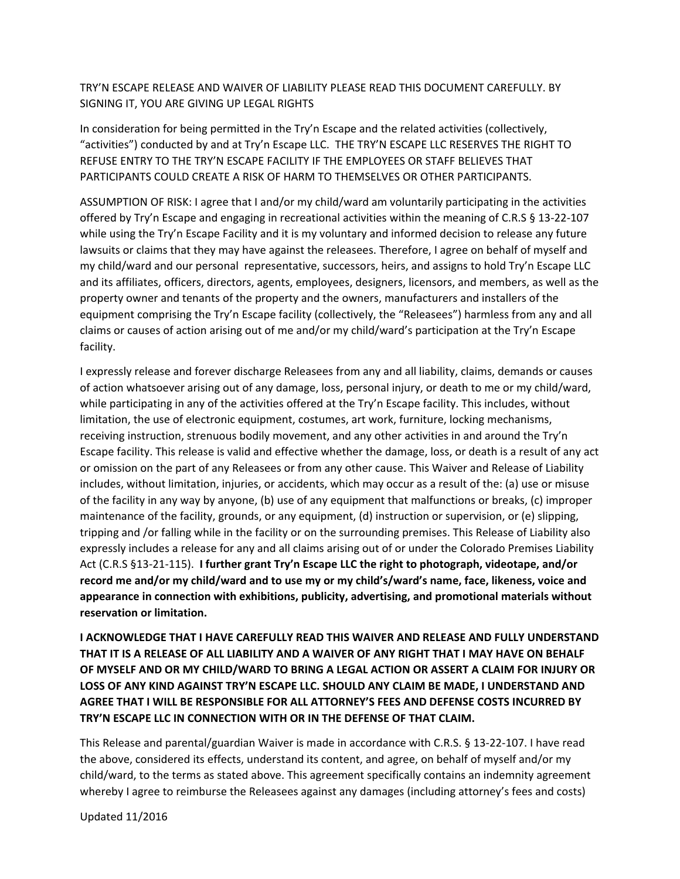TRY'N ESCAPE RELEASE AND WAIVER OF LIABILITY PLEASE READ THIS DOCUMENT CAREFULLY. BY SIGNING IT, YOU ARE GIVING UP LEGAL RIGHTS

In consideration for being permitted in the Try'n Escape and the related activities (collectively, "activities") conducted by and at Try'n Escape LLC. THE TRY'N ESCAPE LLC RESERVES THE RIGHT TO REFUSE ENTRY TO THE TRY'N ESCAPE FACILITY IF THE EMPLOYEES OR STAFF BELIEVES THAT PARTICIPANTS COULD CREATE A RISK OF HARM TO THEMSELVES OR OTHER PARTICIPANTS.

ASSUMPTION OF RISK: I agree that I and/or my child/ward am voluntarily participating in the activities offered by Try'n Escape and engaging in recreational activities within the meaning of C.R.S § 13‐22‐107 while using the Try'n Escape Facility and it is my voluntary and informed decision to release any future lawsuits or claims that they may have against the releasees. Therefore, I agree on behalf of myself and my child/ward and our personal representative, successors, heirs, and assigns to hold Try'n Escape LLC and its affiliates, officers, directors, agents, employees, designers, licensors, and members, as well as the property owner and tenants of the property and the owners, manufacturers and installers of the equipment comprising the Try'n Escape facility (collectively, the "Releasees") harmless from any and all claims or causes of action arising out of me and/or my child/ward's participation at the Try'n Escape facility.

I expressly release and forever discharge Releasees from any and all liability, claims, demands or causes of action whatsoever arising out of any damage, loss, personal injury, or death to me or my child/ward, while participating in any of the activities offered at the Try'n Escape facility. This includes, without limitation, the use of electronic equipment, costumes, art work, furniture, locking mechanisms, receiving instruction, strenuous bodily movement, and any other activities in and around the Try'n Escape facility. This release is valid and effective whether the damage, loss, or death is a result of any act or omission on the part of any Releasees or from any other cause. This Waiver and Release of Liability includes, without limitation, injuries, or accidents, which may occur as a result of the: (a) use or misuse of the facility in any way by anyone, (b) use of any equipment that malfunctions or breaks, (c) improper maintenance of the facility, grounds, or any equipment, (d) instruction or supervision, or (e) slipping, tripping and /or falling while in the facility or on the surrounding premises. This Release of Liability also expressly includes a release for any and all claims arising out of or under the Colorado Premises Liability Act (C.R.S §13‐21‐115). **I further grant Try'n Escape LLC the right to photograph, videotape, and/or record me and/or my child/ward and to use my or my child's/ward's name, face, likeness, voice and appearance in connection with exhibitions, publicity, advertising, and promotional materials without reservation or limitation.**

**I ACKNOWLEDGE THAT I HAVE CAREFULLY READ THIS WAIVER AND RELEASE AND FULLY UNDERSTAND THAT IT IS A RELEASE OF ALL LIABILITY AND A WAIVER OF ANY RIGHT THAT I MAY HAVE ON BEHALF OF MYSELF AND OR MY CHILD/WARD TO BRING A LEGAL ACTION OR ASSERT A CLAIM FOR INJURY OR LOSS OF ANY KIND AGAINST TRY'N ESCAPE LLC. SHOULD ANY CLAIM BE MADE, I UNDERSTAND AND AGREE THAT I WILL BE RESPONSIBLE FOR ALL ATTORNEY'S FEES AND DEFENSE COSTS INCURRED BY TRY'N ESCAPE LLC IN CONNECTION WITH OR IN THE DEFENSE OF THAT CLAIM.** 

This Release and parental/guardian Waiver is made in accordance with C.R.S. § 13‐22‐107. I have read the above, considered its effects, understand its content, and agree, on behalf of myself and/or my child/ward, to the terms as stated above. This agreement specifically contains an indemnity agreement whereby I agree to reimburse the Releasees against any damages (including attorney's fees and costs)

Updated 11/2016